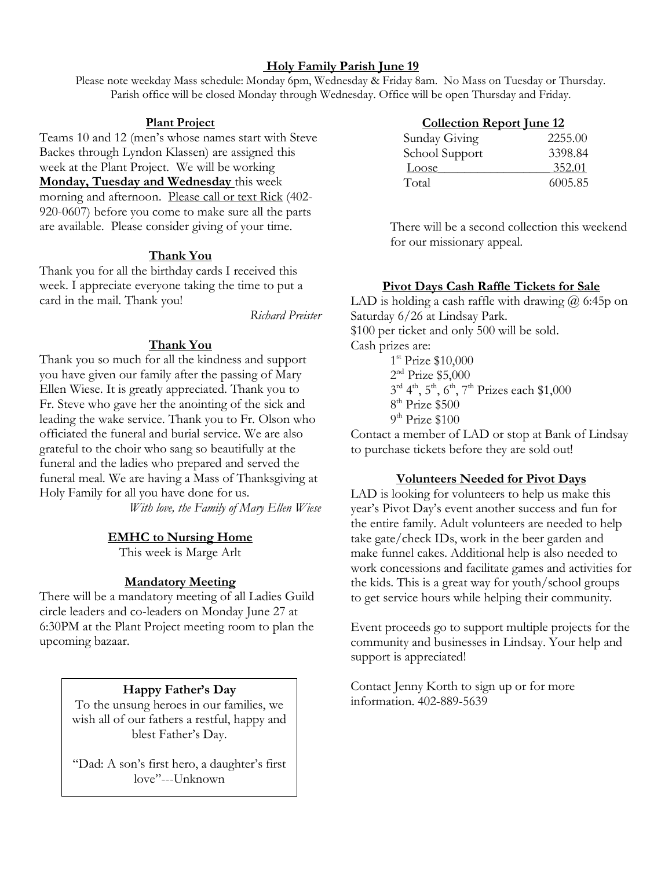# **Holy Family Parish June 19**

Please note weekday Mass schedule: Monday 6pm, Wednesday & Friday 8am. No Mass on Tuesday or Thursday. Parish office will be closed Monday through Wednesday. Office will be open Thursday and Friday.

### **Plant Project**

Teams 10 and 12 (men's whose names start with Steve Backes through Lyndon Klassen) are assigned this week at the Plant Project. We will be working **Monday, Tuesday and Wednesday** this week morning and afternoon. Please call or text Rick (402- 920-0607) before you come to make sure all the parts are available. Please consider giving of your time.

# **Thank You**

Thank you for all the birthday cards I received this week. I appreciate everyone taking the time to put a card in the mail. Thank you!

*Richard Preister*

# **Thank You**

Thank you so much for all the kindness and support you have given our family after the passing of Mary Ellen Wiese. It is greatly appreciated. Thank you to Fr. Steve who gave her the anointing of the sick and leading the wake service. Thank you to Fr. Olson who officiated the funeral and burial service. We are also grateful to the choir who sang so beautifully at the funeral and the ladies who prepared and served the funeral meal. We are having a Mass of Thanksgiving at Holy Family for all you have done for us.

*With love, the Family of Mary Ellen Wiese*

# **EMHC to Nursing Home**

This week is Marge Arlt

#### **Mandatory Meeting**

There will be a mandatory meeting of all Ladies Guild circle leaders and co-leaders on Monday June 27 at 6:30PM at the Plant Project meeting room to plan the upcoming bazaar.

# **Happy Father's Day**

**Collection Report June 12** To the unsung heroes in our families, we wish all of our fathers a restful, happy and blest Father's Day.

"Dad: A son's first hero, a daughter's first  $\text{love}$ "---Unknown" **Collection Report June 12**

# **Collection Report June 12** Sunday Giving 2255.00 School Support 3398.84

 Loose\_\_\_\_\_\_\_\_\_\_\_\_\_\_\_\_\_ 352.01 Total 6005.85

There will be a second collection this weekend for our missionary appeal.

#### **Pivot Days Cash Raffle Tickets for Sale**

LAD is holding a cash raffle with drawing  $@$  6:45p on Saturday 6/26 at Lindsay Park. \$100 per ticket and only 500 will be sold. Cash prizes are: 1<sup>st</sup> Prize \$10,000

 $2<sup>nd</sup>$  Prize \$5,000  $3^{\text{rd}}$  4<sup>th</sup>, 5<sup>th</sup>, 6<sup>th</sup>, 7<sup>th</sup> Prizes each \$1,000 8<sup>th</sup> Prize \$500 9<sup>th</sup> Prize \$100

Contact a member of LAD or stop at Bank of Lindsay to purchase tickets before they are sold out!

# **Volunteers Needed for Pivot Days**

LAD is looking for volunteers to help us make this year's Pivot Day's event another success and fun for the entire family. Adult volunteers are needed to help take gate/check IDs, work in the beer garden and make funnel cakes. Additional help is also needed to work concessions and facilitate games and activities for the kids. This is a great way for youth/school groups to get service hours while helping their community.

Event proceeds go to support multiple projects for the community and businesses in Lindsay. Your help and support is appreciated!

Contact Jenny Korth to sign up or for more information. 402-889-5639